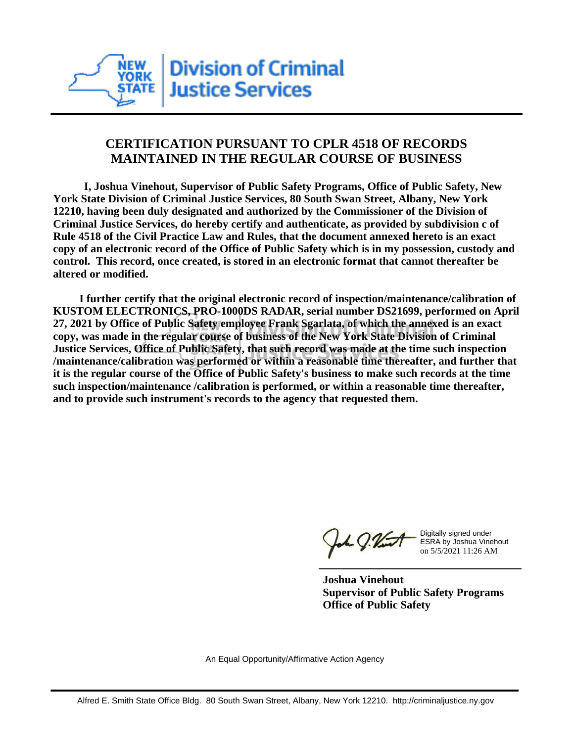

## **CERTIFICATION PURSUANT TO CPLR 4518 OF RECORDS MAINTAINED IN THE REGULAR COURSE OF BUSINESS**

 **I, Joshua Vinehout, Supervisor of Public Safety Programs, Office of Public Safety, New York State Division of Criminal Justice Services, 80 South Swan Street, Albany, New York 12210, having been duly designated and authorized by the Commissioner of the Division of Criminal Justice Services, do hereby certify and authenticate, as provided by subdivision c of Rule 4518 of the Civil Practice Law and Rules, that the document annexed hereto is an exact copy of an electronic record of the Office of Public Safety which is in my possession, custody and control. This record, once created, is stored in an electronic format that cannot thereafter be altered or modified.**

 **I further certify that the original electronic record of inspection/maintenance/calibration of KUSTOM ELECTRONICS, PRO-1000DS RADAR, serial number DS21699, performed on April 27, 2021 by Office of Public Safety employee Frank Sgarlata, of which the annexed is an exact copy, was made in the regular course of business of the New York State Division of Criminal Justice Services, Office of Public Safety, that such record was made at the time such inspection /maintenance/calibration was performed or within a reasonable time thereafter, and further that it is the regular course of the Office of Public Safety's business to make such records at the time such inspection/maintenance /calibration is performed, or within a reasonable time thereafter, and to provide such instrument's records to the agency that requested them.**

the J. Vint

Digitally signed under ESRA by Joshua Vinehout on 5/5/2021 11:26 AM

**Joshua Vinehout Supervisor of Public Safety Programs Office of Public Safety**

An Equal Opportunity/Affirmative Action Agency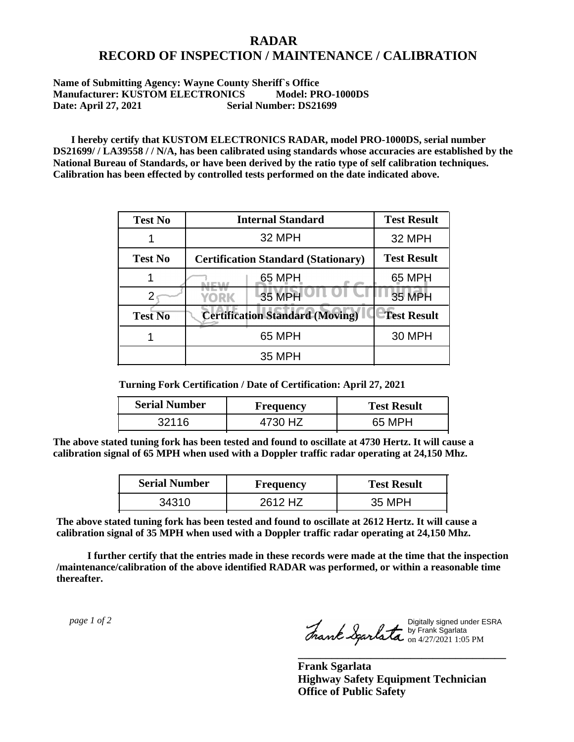## **RADAR RECORD OF INSPECTION / MAINTENANCE / CALIBRATION**

## **Name of Submitting Agency: Wayne County Sheriff`s Office Manufacturer: KUSTOM ELECTRONICS Model: PRO-1000DS Date: April 27, 2021 Serial Number: DS21699**

 **I hereby certify that KUSTOM ELECTRONICS RADAR, model PRO-1000DS, serial number DS21699/ / LA39558 / / N/A, has been calibrated using standards whose accuracies are established by the National Bureau of Standards, or have been derived by the ratio type of self calibration techniques. Calibration has been effected by controlled tests performed on the date indicated above.**

| <b>Test No</b> | <b>Internal Standard</b>                   | <b>Test Result</b> |
|----------------|--------------------------------------------|--------------------|
|                | 32 MPH                                     | 32 MPH             |
| <b>Test No</b> | <b>Certification Standard (Stationary)</b> | <b>Test Result</b> |
|                | 65 MPH                                     | 65 MPH             |
|                | 35 MPH<br>YORK                             | 35 MPH             |
| <b>Test No</b> | <b>Certification Standard (Moving)</b>     | <b>Test Result</b> |
|                | 65 MPH                                     | <b>30 MPH</b>      |
|                | <b>35 MPH</b>                              |                    |

**Turning Fork Certification / Date of Certification: April 27, 2021**

| <b>Serial Number</b> | <b>Frequency</b> | <b>Test Result</b> |
|----------------------|------------------|--------------------|
| 32116                | 4730 HZ          | 65 MPH             |

**The above stated tuning fork has been tested and found to oscillate at 4730 Hertz. It will cause a calibration signal of 65 MPH when used with a Doppler traffic radar operating at 24,150 Mhz.**

| <b>Serial Number</b> | Frequency | <b>Test Result</b> |
|----------------------|-----------|--------------------|
| 34310                | 2612 HZ   | 35 MPH             |

**The above stated tuning fork has been tested and found to oscillate at 2612 Hertz. It will cause a calibration signal of 35 MPH when used with a Doppler traffic radar operating at 24,150 Mhz.**

 **I further certify that the entries made in these records were made at the time that the inspection /maintenance/calibration of the above identified RADAR was performed, or within a reasonable time thereafter.**

 *page 1 of 2* 

Digitally signed under ESRA by Frank Sgarlata on 4/27/2021 1:05 PM

**\_\_\_\_\_\_\_\_\_\_\_\_\_\_\_\_\_\_\_\_\_\_\_\_\_\_\_\_\_\_\_\_\_\_\_\_\_**

**Frank Sgarlata Highway Safety Equipment Technician Office of Public Safety**